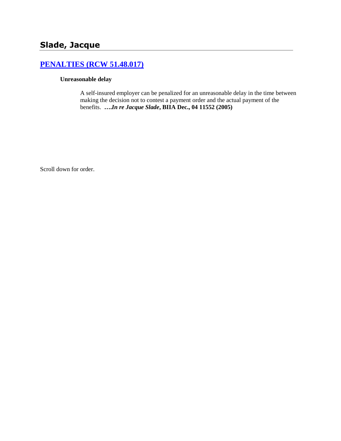# **[PENALTIES \(RCW 51.48.017\)](http://www.biia.wa.gov/SDSubjectIndex.html#PENALTIES)**

#### **Unreasonable delay**

A self-insured employer can be penalized for an unreasonable delay in the time between making the decision not to contest a payment order and the actual payment of the benefits. **….***In re Jacque Slade***, BIIA Dec., 04 11552 (2005)**

Scroll down for order.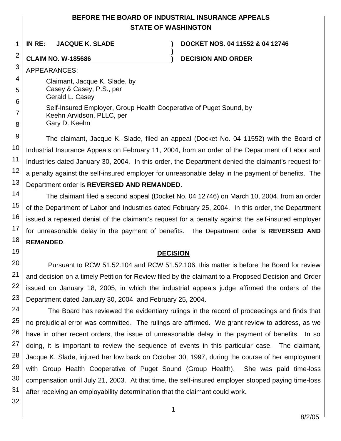# **BEFORE THE BOARD OF INDUSTRIAL INSURANCE APPEALS STATE OF WASHINGTON**

**)**

1

**IN RE: JACQUE K. SLADE ) DOCKET NOS. 04 11552 & 04 12746**

# 2

**CLAIM NO. W-185686 ) DECISION AND ORDER**

3 APPEARANCES:

- 4 5 Claimant, Jacque K. Slade, by Casey & Casey, P.S., per
- Gerald L. Casey
- 6 7 8 Self-Insured Employer, Group Health Cooperative of Puget Sound, by Keehn Arvidson, PLLC, per Gary D. Keehn

9 10 11 12 13 The claimant, Jacque K. Slade, filed an appeal (Docket No. 04 11552) with the Board of Industrial Insurance Appeals on February 11, 2004, from an order of the Department of Labor and Industries dated January 30, 2004. In this order, the Department denied the claimant's request for a penalty against the self-insured employer for unreasonable delay in the payment of benefits. The Department order is **REVERSED AND REMANDED**.

14 15 16 17 18 The claimant filed a second appeal (Docket No. 04 12746) on March 10, 2004, from an order of the Department of Labor and Industries dated February 25, 2004. In this order, the Department issued a repeated denial of the claimant's request for a penalty against the self-insured employer for unreasonable delay in the payment of benefits. The Department order is **REVERSED AND REMANDED**.

#### **DECISION**

20 21 22 23 Pursuant to RCW 51.52.104 and RCW 51.52.106, this matter is before the Board for review and decision on a timely Petition for Review filed by the claimant to a Proposed Decision and Order issued on January 18, 2005, in which the industrial appeals judge affirmed the orders of the Department dated January 30, 2004, and February 25, 2004.

24 25 26 27 28 29 30 31 The Board has reviewed the evidentiary rulings in the record of proceedings and finds that no prejudicial error was committed. The rulings are affirmed. We grant review to address, as we have in other recent orders, the issue of unreasonable delay in the payment of benefits. In so doing, it is important to review the sequence of events in this particular case. The claimant, Jacque K. Slade, injured her low back on October 30, 1997, during the course of her employment with Group Health Cooperative of Puget Sound (Group Health). She was paid time-loss compensation until July 21, 2003. At that time, the self-insured employer stopped paying time-loss after receiving an employability determination that the claimant could work.

32

19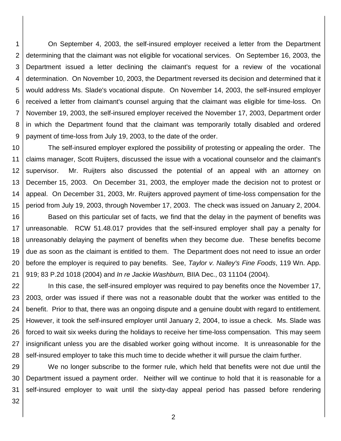1 2 3 4 5 6 7 8 9 On September 4, 2003, the self-insured employer received a letter from the Department determining that the claimant was not eligible for vocational services. On September 16, 2003, the Department issued a letter declining the claimant's request for a review of the vocational determination. On November 10, 2003, the Department reversed its decision and determined that it would address Ms. Slade's vocational dispute. On November 14, 2003, the self-insured employer received a letter from claimant's counsel arguing that the claimant was eligible for time-loss. On November 19, 2003, the self-insured employer received the November 17, 2003, Department order in which the Department found that the claimant was temporarily totally disabled and ordered payment of time-loss from July 19, 2003, to the date of the order.

10 11 12 13 14 15 The self-insured employer explored the possibility of protesting or appealing the order. The claims manager, Scott Ruijters, discussed the issue with a vocational counselor and the claimant's supervisor. Mr. Ruijters also discussed the potential of an appeal with an attorney on December 15, 2003. On December 31, 2003, the employer made the decision not to protest or appeal. On December 31, 2003, Mr. Ruijters approved payment of time-loss compensation for the period from July 19, 2003, through November 17, 2003. The check was issued on January 2, 2004.

16 17 18 19 20 21 Based on this particular set of facts, we find that the delay in the payment of benefits was unreasonable. RCW 51.48.017 provides that the self-insured employer shall pay a penalty for unreasonably delaying the payment of benefits when they become due. These benefits become due as soon as the claimant is entitled to them. The Department does not need to issue an order before the employer is required to pay benefits. See, *Taylor v. Nalley's Fine Foods*, 119 Wn. App. 919; 83 P.2d 1018 (2004) and *In re Jackie Washburn,* BIIA Dec., 03 11104 (2004).

22 23 24 25 26 27 28 In this case, the self-insured employer was required to pay benefits once the November 17, 2003, order was issued if there was not a reasonable doubt that the worker was entitled to the benefit. Prior to that, there was an ongoing dispute and a genuine doubt with regard to entitlement. However, it took the self-insured employer until January 2, 2004, to issue a check. Ms. Slade was forced to wait six weeks during the holidays to receive her time-loss compensation. This may seem insignificant unless you are the disabled worker going without income. It is unreasonable for the self-insured employer to take this much time to decide whether it will pursue the claim further.

29 30 31 We no longer subscribe to the former rule, which held that benefits were not due until the Department issued a payment order. Neither will we continue to hold that it is reasonable for a self-insured employer to wait until the sixty-day appeal period has passed before rendering

32

2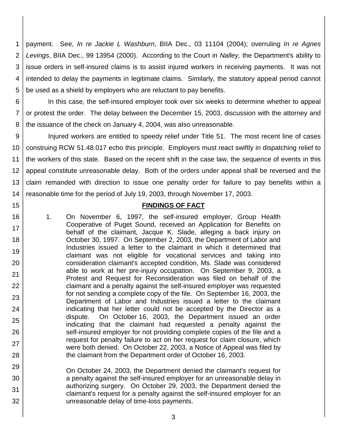1 2 3 4 5 payment. See, *In re Jackie L Washburn*, BIIA Dec., 03 11104 (2004); overruling *In re Agnes Levings*, BIIA Dec., 99 13954 (2000). According to the Court in *Nalley,* the Department's ability to issue orders in self-insured claims is to assist injured workers in receiving payments. It was not intended to delay the payments in legitimate claims. Similarly, the statutory appeal period cannot be used as a shield by employers who are reluctant to pay benefits.

6 7 8 In this case, the self-insured employer took over six weeks to determine whether to appeal or protest the order. The delay between the December 15, 2003, discussion with the attorney and the issuance of the check on January 4, 2004, was also unreasonable.

9 10 11 12 13 14 Injured workers are entitled to speedy relief under Title 51. The most recent line of cases construing RCW 51.48.017 echo this principle. Employers must react swiftly in dispatching relief to the workers of this state. Based on the recent shift in the case law, the sequence of events in this appeal constitute unreasonable delay. Both of the orders under appeal shall be reversed and the claim remanded with direction to issue one penalty order for failure to pay benefits within a reasonable time for the period of July 19, 2003, through November 17, 2003.

## **FINDINGS OF FACT**

1. On November 6, 1997, the self-insured employer, Group Health Cooperative of Puget Sound, received an Application for Benefits on behalf of the claimant, Jacque K. Slade, alleging a back injury on October 30, 1997. On September 2, 2003, the Department of Labor and Industries issued a letter to the claimant in which it determined that claimant was not eligible for vocational services and taking into consideration claimant's accepted condition, Ms. Slade was considered able to work at her pre-injury occupation. On September 9, 2003, a Protest and Request for Reconsideration was filed on behalf of the claimant and a penalty against the self-insured employer was requested for not sending a complete copy of the file. On September 16, 2003, the Department of Labor and Industries issued a letter to the claimant indicating that her letter could not be accepted by the Director as a dispute. On October 16, 2003, the Department issued an order indicating that the claimant had requested a penalty against the self-insured employer for not providing complete copies of the file and a request for penalty failure to act on her request for claim closure, which were both denied. On October 22, 2003, a Notice of Appeal was filed by the claimant from the Department order of October 16, 2003.

15

16

17

18

19

20

21

22

23

24

25

26

27

28

- 29 30 31 32 On October 24, 2003, the Department denied the claimant's request for a penalty against the self-insured employer for an unreasonable delay in authorizing surgery. On October 29, 2003, the Department denied the claimant's request for a penalty against the self-insured employer for an unreasonable delay of time-loss payments.
	- 3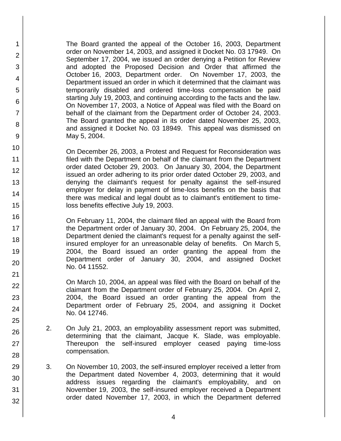The Board granted the appeal of the October 16, 2003, Department order on November 14, 2003, and assigned it Docket No. 03 17949. On September 17, 2004, we issued an order denying a Petition for Review and adopted the Proposed Decision and Order that affirmed the October 16, 2003, Department order. On November 17, 2003, the Department issued an order in which it determined that the claimant was temporarily disabled and ordered time-loss compensation be paid starting July 19, 2003, and continuing according to the facts and the law. On November 17, 2003, a Notice of Appeal was filed with the Board on behalf of the claimant from the Department order of October 24, 2003. The Board granted the appeal in its order dated November 25, 2003, and assigned it Docket No. 03 18949. This appeal was dismissed on May 5, 2004.

1

2

3

4

5

6

7

8

9

10

11 12

13

14

15

16

17 18

19

20

21

22

23

24

25

26

27

28

29

30

31

32

On December 26, 2003, a Protest and Request for Reconsideration was filed with the Department on behalf of the claimant from the Department order dated October 29, 2003. On January 30, 2004, the Department issued an order adhering to its prior order dated October 29, 2003, and denying the claimant's request for penalty against the self-insured employer for delay in payment of time-loss benefits on the basis that there was medical and legal doubt as to claimant's entitlement to timeloss benefits effective July 19, 2003.

On February 11, 2004, the claimant filed an appeal with the Board from the Department order of January 30, 2004. On February 25, 2004, the Department denied the claimant's request for a penalty against the selfinsured employer for an unreasonable delay of benefits. On March 5, 2004, the Board issued an order granting the appeal from the Department order of January 30, 2004, and assigned Docket No. 04 11552.

On March 10, 2004, an appeal was filed with the Board on behalf of the claimant from the Department order of February 25, 2004. On April 2, 2004, the Board issued an order granting the appeal from the Department order of February 25, 2004, and assigning it Docket No. 04 12746.

- 2. On July 21, 2003, an employability assessment report was submitted, determining that the claimant, Jacque K. Slade, was employable. Thereupon the self-insured employer ceased paying time-loss compensation.
- 3. On November 10, 2003, the self-insured employer received a letter from the Department dated November 4, 2003, determining that it would address issues regarding the claimant's employability, and on November 19, 2003, the self-insured employer received a Department order dated November 17, 2003, in which the Department deferred